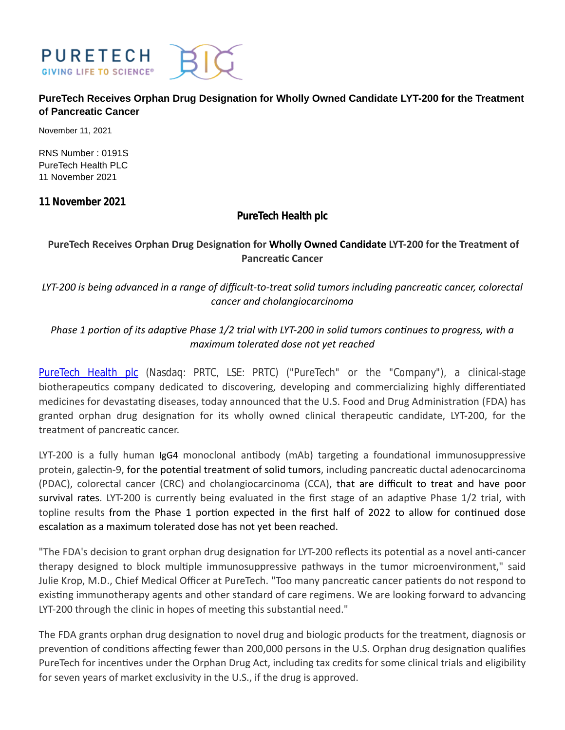

# **PureTech Receives Orphan Drug Designation for Wholly Owned Candidate LYT-200 for the Treatment of Pancreatic Cancer**

November 11, 2021

RNS Number : 0191S PureTech Health PLC 11 November 2021

**11 November 2021**

# **PureTech Health plc**

# PureTech Receives Orphan Drug Designation for Wholly Owned Candidate LYT-200 for the Treatment of **PancreaƟc Cancer**

*LYT-200 is being advanced in a range of difficult-to-treat solid tumors including pancreaƟc cancer, colorectal cancer and cholangiocarcinoma*

# *Phase 1 portion of its adaptive Phase 1/2 trial with LYT-200 in solid tumors continues to progress, with a maximum tolerated dose not yet reached*

[PureTech Health plc](http://www.puretechhealth.com/) (Nasdaq: PRTC, LSE: PRTC) ("PureTech" or the "Company"), a clinical-stage biotherapeutics company dedicated to discovering, developing and commercializing highly differentiated medicines for devastating diseases, today announced that the U.S. Food and Drug Administration (FDA) has granted orphan drug designation for its wholly owned clinical therapeutic candidate, LYT-200, for the treatment of pancreatic cancer.

LYT-200 is a fully human IgG4 monoclonal antibody (mAb) targeting a foundational immunosuppressive protein, galectin-9, for the potential treatment of solid tumors, including pancreatic ductal adenocarcinoma (PDAC), colorectal cancer (CRC) and cholangiocarcinoma (CCA), that are difficult to treat and have poor survival rates. LYT-200 is currently being evaluated in the first stage of an adaptive Phase 1/2 trial, with topline results from the Phase 1 portion expected in the first half of 2022 to allow for continued dose escalation as a maximum tolerated dose has not yet been reached.

"The FDA's decision to grant orphan drug designation for LYT-200 reflects its potential as a novel anti-cancer therapy designed to block multiple immunosuppressive pathways in the tumor microenvironment," said Julie Krop, M.D., Chief Medical Officer at PureTech. "Too many pancreatic cancer patients do not respond to existing immunotherapy agents and other standard of care regimens. We are looking forward to advancing LYT-200 through the clinic in hopes of meeting this substantial need."

The FDA grants orphan drug designation to novel drug and biologic products for the treatment, diagnosis or prevention of conditions affecting fewer than 200,000 persons in the U.S. Orphan drug designation qualifies PureTech for incentives under the Orphan Drug Act, including tax credits for some clinical trials and eligibility for seven years of market exclusivity in the U.S., if the drug is approved.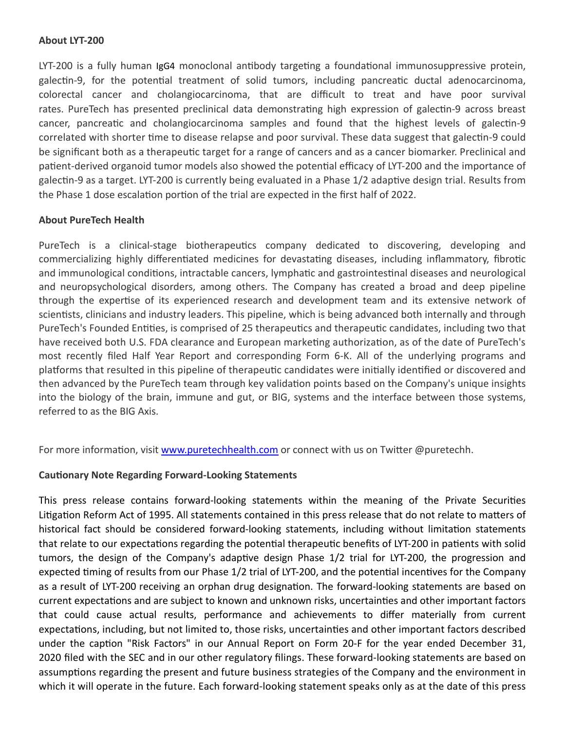### **About LYT-200**

LYT-200 is a fully human IgG4 monoclonal antibody targeting a foundational immunosuppressive protein, galectin-9, for the potential treatment of solid tumors, including pancreatic ductal adenocarcinoma, colorectal cancer and cholangiocarcinoma, that are difficult to treat and have poor survival rates. PureTech has presented preclinical data demonstrating high expression of galectin-9 across breast cancer, pancreatic and cholangiocarcinoma samples and found that the highest levels of galectin-9 correlated with shorter time to disease relapse and poor survival. These data suggest that galectin-9 could be significant both as a therapeutic target for a range of cancers and as a cancer biomarker. Preclinical and patient-derived organoid tumor models also showed the potential efficacy of LYT-200 and the importance of galectin-9 as a target. LYT-200 is currently being evaluated in a Phase 1/2 adaptive design trial. Results from the Phase 1 dose escalation portion of the trial are expected in the first half of 2022.

### **About PureTech Health**

PureTech is a clinical-stage biotherapeutics company dedicated to discovering, developing and commercializing highly differentiated medicines for devastating diseases, including inflammatory, fibrotic and immunological conditions, intractable cancers, lymphatic and gastrointestinal diseases and neurological and neuropsychological disorders, among others. The Company has created a broad and deep pipeline through the expertise of its experienced research and development team and its extensive network of scientists, clinicians and industry leaders. This pipeline, which is being advanced both internally and through PureTech's Founded Entities, is comprised of 25 therapeutics and therapeutic candidates, including two that have received both U.S. FDA clearance and European marketing authorization, as of the date of PureTech's most recently filed Half Year Report and corresponding Form 6-K. All of the underlying programs and platforms that resulted in this pipeline of therapeutic candidates were initially identified or discovered and then advanced by the PureTech team through key validation points based on the Company's unique insights into the biology of the brain, immune and gut, or BIG, systems and the interface between those systems, referred to as the BIG Axis.

For more information, visit [www.puretechhealth.com o](http://www.puretechhealth.com/)r connect with us on Twitter @puretechh.

# **CauƟonary Note Regarding Forward-Looking Statements**

This press release contains forward-looking statements within the meaning of the Private Securities Litigation Reform Act of 1995. All statements contained in this press release that do not relate to matters of historical fact should be considered forward-looking statements, including without limitation statements that relate to our expectations regarding the potential therapeutic benefits of LYT-200 in patients with solid tumors, the design of the Company's adaptive design Phase 1/2 trial for LYT-200, the progression and expected timing of results from our Phase 1/2 trial of LYT-200, and the potential incentives for the Company as a result of LYT-200 receiving an orphan drug designation. The forward-looking statements are based on current expectations and are subject to known and unknown risks, uncertainties and other important factors that could cause actual results, performance and achievements to differ materially from current expectations, including, but not limited to, those risks, uncertainties and other important factors described under the caption "Risk Factors" in our Annual Report on Form 20-F for the year ended December 31, 2020 filed with the SEC and in our other regulatory filings. These forward-looking statements are based on assumptions regarding the present and future business strategies of the Company and the environment in which it will operate in the future. Each forward-looking statement speaks only as at the date of this press